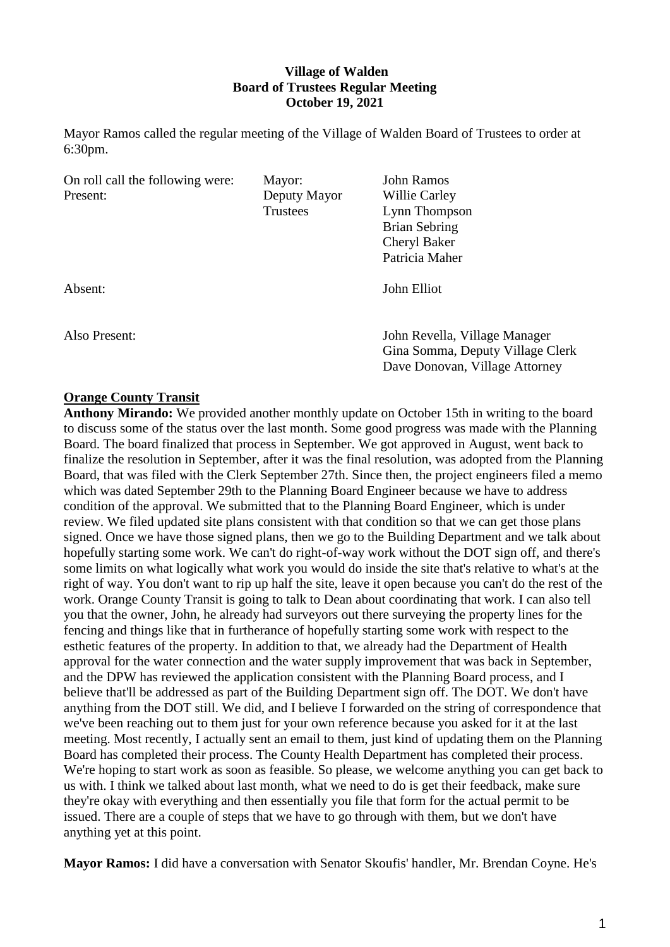# **Village of Walden Board of Trustees Regular Meeting October 19, 2021**

Mayor Ramos called the regular meeting of the Village of Walden Board of Trustees to order at 6:30pm.

| On roll call the following were: | Mayor:          | John Ramos                       |
|----------------------------------|-----------------|----------------------------------|
| Present:                         | Deputy Mayor    | Willie Carley                    |
|                                  | <b>Trustees</b> | Lynn Thompson                    |
|                                  |                 | <b>Brian Sebring</b>             |
|                                  |                 | <b>Cheryl Baker</b>              |
|                                  |                 | Patricia Maher                   |
| Absent:                          |                 | John Elliot                      |
| Also Present:                    |                 | John Revella, Village Manager    |
|                                  |                 | Dave Donovan, Village Attorney   |
|                                  |                 | Gina Somma, Deputy Village Clerk |

### **Orange County Transit**

**Anthony Mirando:** We provided another monthly update on October 15th in writing to the board to discuss some of the status over the last month. Some good progress was made with the Planning Board. The board finalized that process in September. We got approved in August, went back to finalize the resolution in September, after it was the final resolution, was adopted from the Planning Board, that was filed with the Clerk September 27th. Since then, the project engineers filed a memo which was dated September 29th to the Planning Board Engineer because we have to address condition of the approval. We submitted that to the Planning Board Engineer, which is under review. We filed updated site plans consistent with that condition so that we can get those plans signed. Once we have those signed plans, then we go to the Building Department and we talk about hopefully starting some work. We can't do right-of-way work without the DOT sign off, and there's some limits on what logically what work you would do inside the site that's relative to what's at the right of way. You don't want to rip up half the site, leave it open because you can't do the rest of the work. Orange County Transit is going to talk to Dean about coordinating that work. I can also tell you that the owner, John, he already had surveyors out there surveying the property lines for the fencing and things like that in furtherance of hopefully starting some work with respect to the esthetic features of the property. In addition to that, we already had the Department of Health approval for the water connection and the water supply improvement that was back in September, and the DPW has reviewed the application consistent with the Planning Board process, and I believe that'll be addressed as part of the Building Department sign off. The DOT. We don't have anything from the DOT still. We did, and I believe I forwarded on the string of correspondence that we've been reaching out to them just for your own reference because you asked for it at the last meeting. Most recently, I actually sent an email to them, just kind of updating them on the Planning Board has completed their process. The County Health Department has completed their process. We're hoping to start work as soon as feasible. So please, we welcome anything you can get back to us with. I think we talked about last month, what we need to do is get their feedback, make sure they're okay with everything and then essentially you file that form for the actual permit to be issued. There are a couple of steps that we have to go through with them, but we don't have anything yet at this point.

**Mayor Ramos:** I did have a conversation with Senator Skoufis' handler, Mr. Brendan Coyne. He's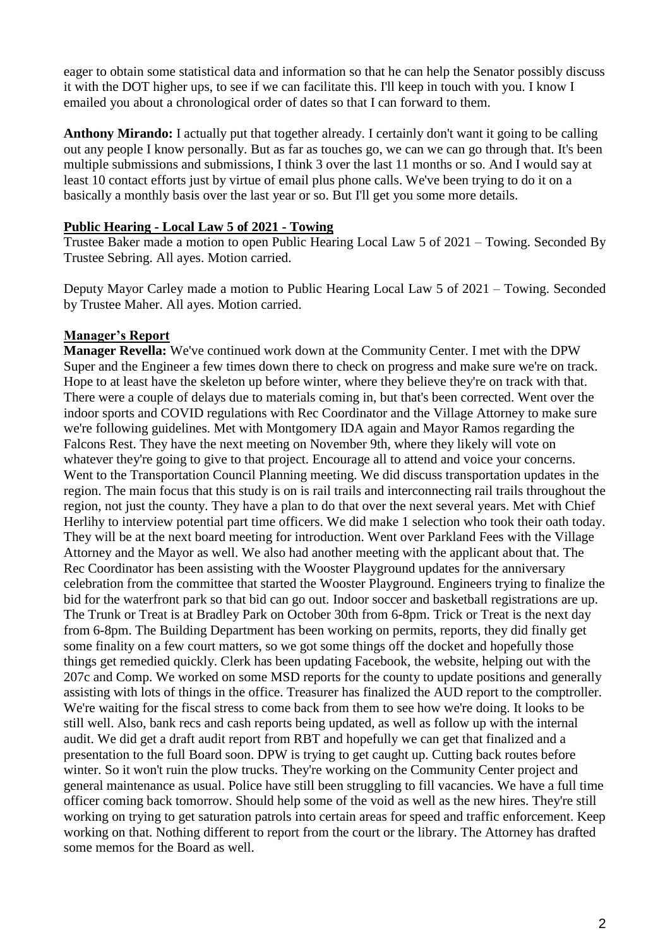eager to obtain some statistical data and information so that he can help the Senator possibly discuss it with the DOT higher ups, to see if we can facilitate this. I'll keep in touch with you. I know I emailed you about a chronological order of dates so that I can forward to them.

**Anthony Mirando:** I actually put that together already. I certainly don't want it going to be calling out any people I know personally. But as far as touches go, we can we can go through that. It's been multiple submissions and submissions, I think 3 over the last 11 months or so. And I would say at least 10 contact efforts just by virtue of email plus phone calls. We've been trying to do it on a basically a monthly basis over the last year or so. But I'll get you some more details.

### **Public Hearing - Local Law 5 of 2021 - Towing**

Trustee Baker made a motion to open Public Hearing Local Law 5 of 2021 – Towing. Seconded By Trustee Sebring. All ayes. Motion carried.

Deputy Mayor Carley made a motion to Public Hearing Local Law 5 of 2021 – Towing. Seconded by Trustee Maher. All ayes. Motion carried.

### **Manager's Report**

**Manager Revella:** We've continued work down at the Community Center. I met with the DPW Super and the Engineer a few times down there to check on progress and make sure we're on track. Hope to at least have the skeleton up before winter, where they believe they're on track with that. There were a couple of delays due to materials coming in, but that's been corrected. Went over the indoor sports and COVID regulations with Rec Coordinator and the Village Attorney to make sure we're following guidelines. Met with Montgomery IDA again and Mayor Ramos regarding the Falcons Rest. They have the next meeting on November 9th, where they likely will vote on whatever they're going to give to that project. Encourage all to attend and voice your concerns. Went to the Transportation Council Planning meeting. We did discuss transportation updates in the region. The main focus that this study is on is rail trails and interconnecting rail trails throughout the region, not just the county. They have a plan to do that over the next several years. Met with Chief Herlihy to interview potential part time officers. We did make 1 selection who took their oath today. They will be at the next board meeting for introduction. Went over Parkland Fees with the Village Attorney and the Mayor as well. We also had another meeting with the applicant about that. The Rec Coordinator has been assisting with the Wooster Playground updates for the anniversary celebration from the committee that started the Wooster Playground. Engineers trying to finalize the bid for the waterfront park so that bid can go out. Indoor soccer and basketball registrations are up. The Trunk or Treat is at Bradley Park on October 30th from 6-8pm. Trick or Treat is the next day from 6-8pm. The Building Department has been working on permits, reports, they did finally get some finality on a few court matters, so we got some things off the docket and hopefully those things get remedied quickly. Clerk has been updating Facebook, the website, helping out with the 207c and Comp. We worked on some MSD reports for the county to update positions and generally assisting with lots of things in the office. Treasurer has finalized the AUD report to the comptroller. We're waiting for the fiscal stress to come back from them to see how we're doing. It looks to be still well. Also, bank recs and cash reports being updated, as well as follow up with the internal audit. We did get a draft audit report from RBT and hopefully we can get that finalized and a presentation to the full Board soon. DPW is trying to get caught up. Cutting back routes before winter. So it won't ruin the plow trucks. They're working on the Community Center project and general maintenance as usual. Police have still been struggling to fill vacancies. We have a full time officer coming back tomorrow. Should help some of the void as well as the new hires. They're still working on trying to get saturation patrols into certain areas for speed and traffic enforcement. Keep working on that. Nothing different to report from the court or the library. The Attorney has drafted some memos for the Board as well.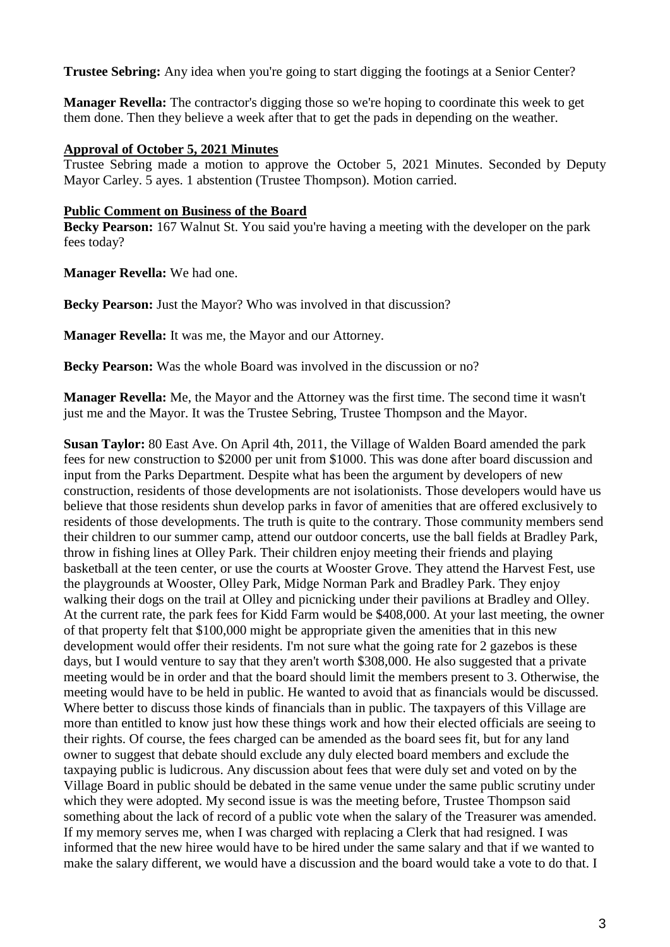**Trustee Sebring:** Any idea when you're going to start digging the footings at a Senior Center?

**Manager Revella:** The contractor's digging those so we're hoping to coordinate this week to get them done. Then they believe a week after that to get the pads in depending on the weather.

### **Approval of October 5, 2021 Minutes**

Trustee Sebring made a motion to approve the October 5, 2021 Minutes. Seconded by Deputy Mayor Carley. 5 ayes. 1 abstention (Trustee Thompson). Motion carried.

### **Public Comment on Business of the Board**

**Becky Pearson:** 167 Walnut St. You said you're having a meeting with the developer on the park fees today?

**Manager Revella:** We had one.

Becky Pearson: Just the Mayor? Who was involved in that discussion?

**Manager Revella:** It was me, the Mayor and our Attorney.

**Becky Pearson:** Was the whole Board was involved in the discussion or no?

**Manager Revella:** Me, the Mayor and the Attorney was the first time. The second time it wasn't just me and the Mayor. It was the Trustee Sebring, Trustee Thompson and the Mayor.

**Susan Taylor:** 80 East Ave. On April 4th, 2011, the Village of Walden Board amended the park fees for new construction to \$2000 per unit from \$1000. This was done after board discussion and input from the Parks Department. Despite what has been the argument by developers of new construction, residents of those developments are not isolationists. Those developers would have us believe that those residents shun develop parks in favor of amenities that are offered exclusively to residents of those developments. The truth is quite to the contrary. Those community members send their children to our summer camp, attend our outdoor concerts, use the ball fields at Bradley Park, throw in fishing lines at Olley Park. Their children enjoy meeting their friends and playing basketball at the teen center, or use the courts at Wooster Grove. They attend the Harvest Fest, use the playgrounds at Wooster, Olley Park, Midge Norman Park and Bradley Park. They enjoy walking their dogs on the trail at Olley and picnicking under their pavilions at Bradley and Olley. At the current rate, the park fees for Kidd Farm would be \$408,000. At your last meeting, the owner of that property felt that \$100,000 might be appropriate given the amenities that in this new development would offer their residents. I'm not sure what the going rate for 2 gazebos is these days, but I would venture to say that they aren't worth \$308,000. He also suggested that a private meeting would be in order and that the board should limit the members present to 3. Otherwise, the meeting would have to be held in public. He wanted to avoid that as financials would be discussed. Where better to discuss those kinds of financials than in public. The taxpayers of this Village are more than entitled to know just how these things work and how their elected officials are seeing to their rights. Of course, the fees charged can be amended as the board sees fit, but for any land owner to suggest that debate should exclude any duly elected board members and exclude the taxpaying public is ludicrous. Any discussion about fees that were duly set and voted on by the Village Board in public should be debated in the same venue under the same public scrutiny under which they were adopted. My second issue is was the meeting before, Trustee Thompson said something about the lack of record of a public vote when the salary of the Treasurer was amended. If my memory serves me, when I was charged with replacing a Clerk that had resigned. I was informed that the new hiree would have to be hired under the same salary and that if we wanted to make the salary different, we would have a discussion and the board would take a vote to do that. I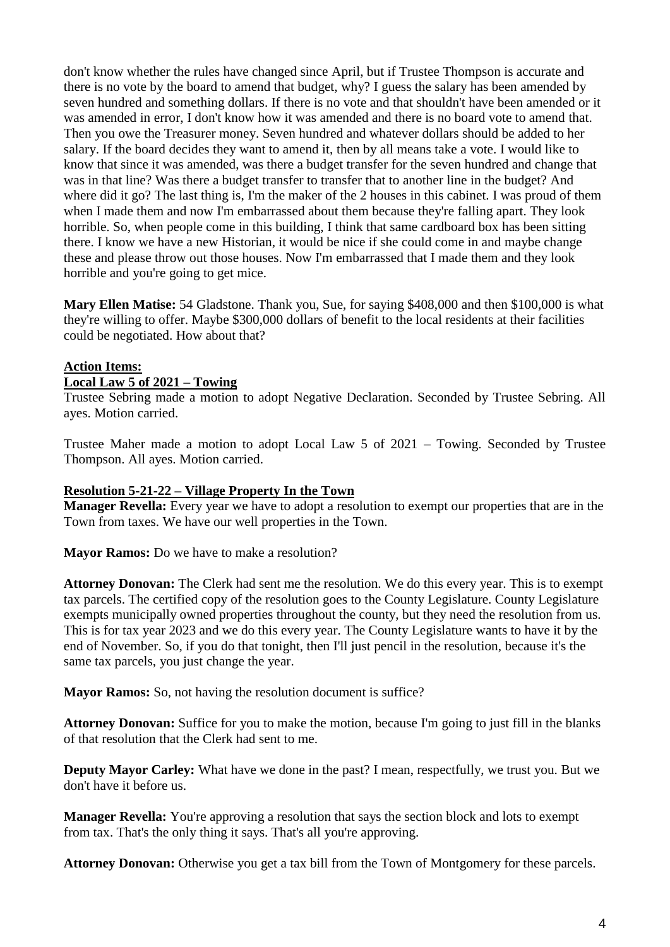don't know whether the rules have changed since April, but if Trustee Thompson is accurate and there is no vote by the board to amend that budget, why? I guess the salary has been amended by seven hundred and something dollars. If there is no vote and that shouldn't have been amended or it was amended in error, I don't know how it was amended and there is no board vote to amend that. Then you owe the Treasurer money. Seven hundred and whatever dollars should be added to her salary. If the board decides they want to amend it, then by all means take a vote. I would like to know that since it was amended, was there a budget transfer for the seven hundred and change that was in that line? Was there a budget transfer to transfer that to another line in the budget? And where did it go? The last thing is, I'm the maker of the 2 houses in this cabinet. I was proud of them when I made them and now I'm embarrassed about them because they're falling apart. They look horrible. So, when people come in this building, I think that same cardboard box has been sitting there. I know we have a new Historian, it would be nice if she could come in and maybe change these and please throw out those houses. Now I'm embarrassed that I made them and they look horrible and you're going to get mice.

**Mary Ellen Matise:** 54 Gladstone. Thank you, Sue, for saying \$408,000 and then \$100,000 is what they're willing to offer. Maybe \$300,000 dollars of benefit to the local residents at their facilities could be negotiated. How about that?

#### **Action Items: Local Law 5 of 2021 – Towing**

Trustee Sebring made a motion to adopt Negative Declaration. Seconded by Trustee Sebring. All ayes. Motion carried.

Trustee Maher made a motion to adopt Local Law 5 of 2021 – Towing. Seconded by Trustee Thompson. All ayes. Motion carried.

# **Resolution 5-21-22 – Village Property In the Town**

**Manager Revella:** Every year we have to adopt a resolution to exempt our properties that are in the Town from taxes. We have our well properties in the Town.

**Mayor Ramos:** Do we have to make a resolution?

**Attorney Donovan:** The Clerk had sent me the resolution. We do this every year. This is to exempt tax parcels. The certified copy of the resolution goes to the County Legislature. County Legislature exempts municipally owned properties throughout the county, but they need the resolution from us. This is for tax year 2023 and we do this every year. The County Legislature wants to have it by the end of November. So, if you do that tonight, then I'll just pencil in the resolution, because it's the same tax parcels, you just change the year.

**Mayor Ramos:** So, not having the resolution document is suffice?

**Attorney Donovan:** Suffice for you to make the motion, because I'm going to just fill in the blanks of that resolution that the Clerk had sent to me.

**Deputy Mayor Carley:** What have we done in the past? I mean, respectfully, we trust you. But we don't have it before us.

**Manager Revella:** You're approving a resolution that says the section block and lots to exempt from tax. That's the only thing it says. That's all you're approving.

**Attorney Donovan:** Otherwise you get a tax bill from the Town of Montgomery for these parcels.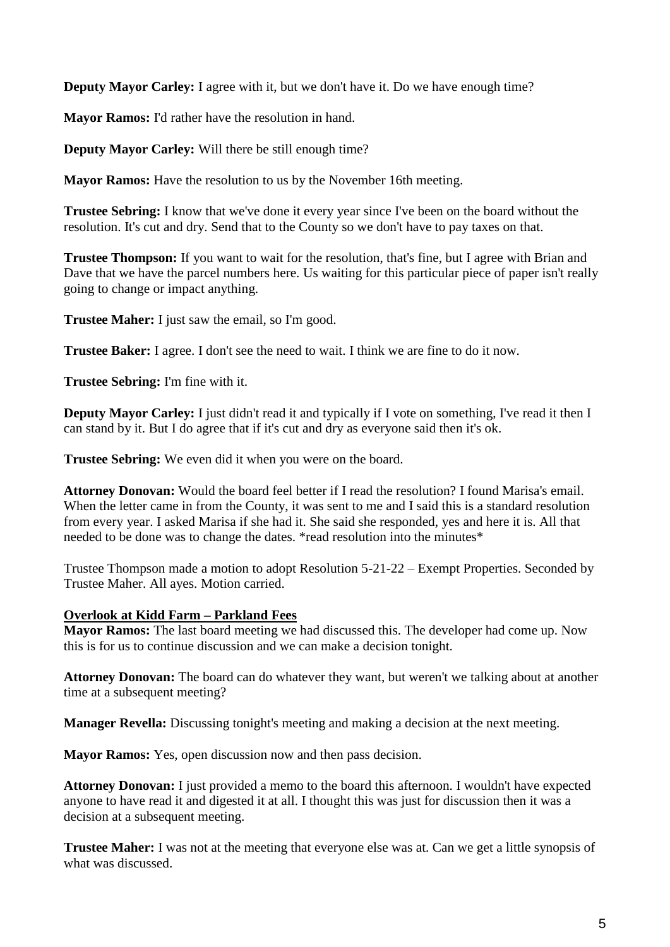**Deputy Mayor Carley:** I agree with it, but we don't have it. Do we have enough time?

**Mayor Ramos:** I'd rather have the resolution in hand.

**Deputy Mayor Carley:** Will there be still enough time?

**Mayor Ramos:** Have the resolution to us by the November 16th meeting.

**Trustee Sebring:** I know that we've done it every year since I've been on the board without the resolution. It's cut and dry. Send that to the County so we don't have to pay taxes on that.

**Trustee Thompson:** If you want to wait for the resolution, that's fine, but I agree with Brian and Dave that we have the parcel numbers here. Us waiting for this particular piece of paper isn't really going to change or impact anything.

**Trustee Maher:** I just saw the email, so I'm good.

**Trustee Baker:** I agree. I don't see the need to wait. I think we are fine to do it now.

**Trustee Sebring:** I'm fine with it.

**Deputy Mayor Carley:** I just didn't read it and typically if I vote on something, I've read it then I can stand by it. But I do agree that if it's cut and dry as everyone said then it's ok.

**Trustee Sebring:** We even did it when you were on the board.

**Attorney Donovan:** Would the board feel better if I read the resolution? I found Marisa's email. When the letter came in from the County, it was sent to me and I said this is a standard resolution from every year. I asked Marisa if she had it. She said she responded, yes and here it is. All that needed to be done was to change the dates. \*read resolution into the minutes\*

Trustee Thompson made a motion to adopt Resolution 5-21-22 – Exempt Properties. Seconded by Trustee Maher. All ayes. Motion carried.

# **Overlook at Kidd Farm – Parkland Fees**

**Mayor Ramos:** The last board meeting we had discussed this. The developer had come up. Now this is for us to continue discussion and we can make a decision tonight.

**Attorney Donovan:** The board can do whatever they want, but weren't we talking about at another time at a subsequent meeting?

**Manager Revella:** Discussing tonight's meeting and making a decision at the next meeting.

**Mayor Ramos:** Yes, open discussion now and then pass decision.

**Attorney Donovan:** I just provided a memo to the board this afternoon. I wouldn't have expected anyone to have read it and digested it at all. I thought this was just for discussion then it was a decision at a subsequent meeting.

**Trustee Maher:** I was not at the meeting that everyone else was at. Can we get a little synopsis of what was discussed.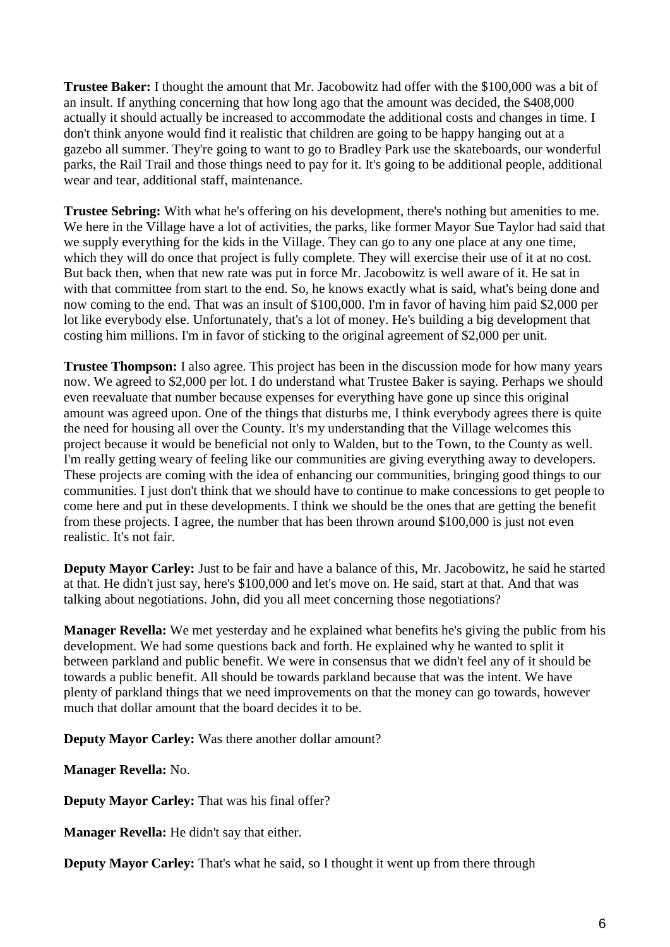**Trustee Baker:** I thought the amount that Mr. Jacobowitz had offer with the \$100,000 was a bit of an insult. If anything concerning that how long ago that the amount was decided, the \$408,000 actually it should actually be increased to accommodate the additional costs and changes in time. I don't think anyone would find it realistic that children are going to be happy hanging out at a gazebo all summer. They're going to want to go to Bradley Park use the skateboards, our wonderful parks, the Rail Trail and those things need to pay for it. It's going to be additional people, additional wear and tear, additional staff, maintenance.

**Trustee Sebring:** With what he's offering on his development, there's nothing but amenities to me. We here in the Village have a lot of activities, the parks, like former Mayor Sue Taylor had said that we supply everything for the kids in the Village. They can go to any one place at any one time, which they will do once that project is fully complete. They will exercise their use of it at no cost. But back then, when that new rate was put in force Mr. Jacobowitz is well aware of it. He sat in with that committee from start to the end. So, he knows exactly what is said, what's being done and now coming to the end. That was an insult of \$100,000. I'm in favor of having him paid \$2,000 per lot like everybody else. Unfortunately, that's a lot of money. He's building a big development that costing him millions. I'm in favor of sticking to the original agreement of \$2,000 per unit.

**Trustee Thompson:** I also agree. This project has been in the discussion mode for how many years now. We agreed to \$2,000 per lot. I do understand what Trustee Baker is saying. Perhaps we should even reevaluate that number because expenses for everything have gone up since this original amount was agreed upon. One of the things that disturbs me, I think everybody agrees there is quite the need for housing all over the County. It's my understanding that the Village welcomes this project because it would be beneficial not only to Walden, but to the Town, to the County as well. I'm really getting weary of feeling like our communities are giving everything away to developers. These projects are coming with the idea of enhancing our communities, bringing good things to our communities. I just don't think that we should have to continue to make concessions to get people to come here and put in these developments. I think we should be the ones that are getting the benefit from these projects. I agree, the number that has been thrown around \$100,000 is just not even realistic. It's not fair.

**Deputy Mayor Carley:** Just to be fair and have a balance of this, Mr. Jacobowitz, he said he started at that. He didn't just say, here's \$100,000 and let's move on. He said, start at that. And that was talking about negotiations. John, did you all meet concerning those negotiations?

**Manager Revella:** We met yesterday and he explained what benefits he's giving the public from his development. We had some questions back and forth. He explained why he wanted to split it between parkland and public benefit. We were in consensus that we didn't feel any of it should be towards a public benefit. All should be towards parkland because that was the intent. We have plenty of parkland things that we need improvements on that the money can go towards, however much that dollar amount that the board decides it to be.

**Deputy Mayor Carley:** Was there another dollar amount?

**Manager Revella:** No.

**Deputy Mayor Carley:** That was his final offer?

**Manager Revella:** He didn't say that either.

**Deputy Mayor Carley:** That's what he said, so I thought it went up from there through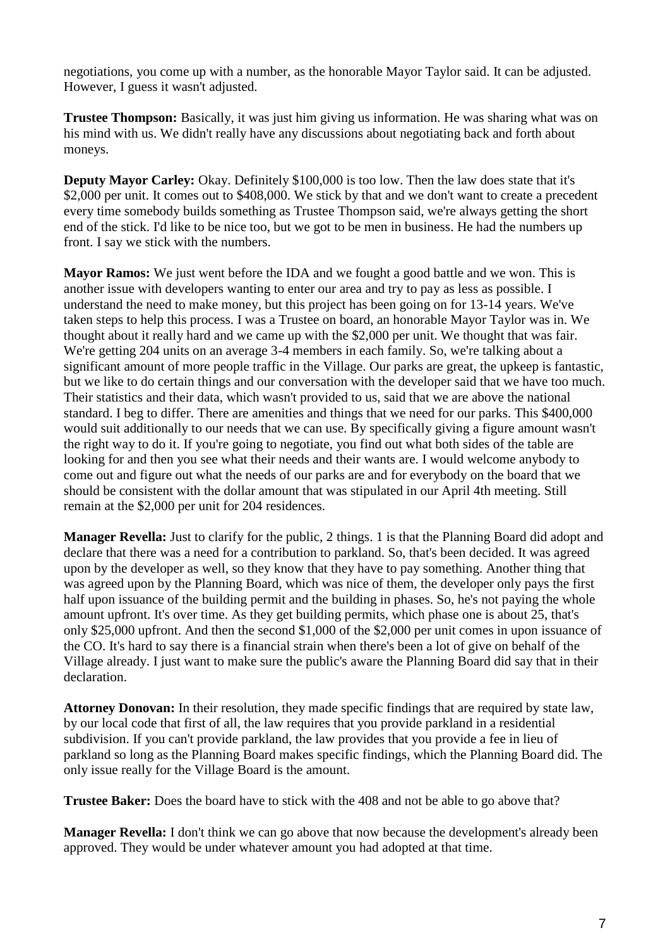negotiations, you come up with a number, as the honorable Mayor Taylor said. It can be adjusted. However, I guess it wasn't adjusted.

**Trustee Thompson:** Basically, it was just him giving us information. He was sharing what was on his mind with us. We didn't really have any discussions about negotiating back and forth about moneys.

**Deputy Mayor Carley:** Okay. Definitely \$100,000 is too low. Then the law does state that it's \$2,000 per unit. It comes out to \$408,000. We stick by that and we don't want to create a precedent every time somebody builds something as Trustee Thompson said, we're always getting the short end of the stick. I'd like to be nice too, but we got to be men in business. He had the numbers up front. I say we stick with the numbers.

**Mayor Ramos:** We just went before the IDA and we fought a good battle and we won. This is another issue with developers wanting to enter our area and try to pay as less as possible. I understand the need to make money, but this project has been going on for 13-14 years. We've taken steps to help this process. I was a Trustee on board, an honorable Mayor Taylor was in. We thought about it really hard and we came up with the \$2,000 per unit. We thought that was fair. We're getting 204 units on an average 3-4 members in each family. So, we're talking about a significant amount of more people traffic in the Village. Our parks are great, the upkeep is fantastic, but we like to do certain things and our conversation with the developer said that we have too much. Their statistics and their data, which wasn't provided to us, said that we are above the national standard. I beg to differ. There are amenities and things that we need for our parks. This \$400,000 would suit additionally to our needs that we can use. By specifically giving a figure amount wasn't the right way to do it. If you're going to negotiate, you find out what both sides of the table are looking for and then you see what their needs and their wants are. I would welcome anybody to come out and figure out what the needs of our parks are and for everybody on the board that we should be consistent with the dollar amount that was stipulated in our April 4th meeting. Still remain at the \$2,000 per unit for 204 residences.

**Manager Revella:** Just to clarify for the public, 2 things. 1 is that the Planning Board did adopt and declare that there was a need for a contribution to parkland. So, that's been decided. It was agreed upon by the developer as well, so they know that they have to pay something. Another thing that was agreed upon by the Planning Board, which was nice of them, the developer only pays the first half upon issuance of the building permit and the building in phases. So, he's not paying the whole amount upfront. It's over time. As they get building permits, which phase one is about 25, that's only \$25,000 upfront. And then the second \$1,000 of the \$2,000 per unit comes in upon issuance of the CO. It's hard to say there is a financial strain when there's been a lot of give on behalf of the Village already. I just want to make sure the public's aware the Planning Board did say that in their declaration.

**Attorney Donovan:** In their resolution, they made specific findings that are required by state law, by our local code that first of all, the law requires that you provide parkland in a residential subdivision. If you can't provide parkland, the law provides that you provide a fee in lieu of parkland so long as the Planning Board makes specific findings, which the Planning Board did. The only issue really for the Village Board is the amount.

**Trustee Baker:** Does the board have to stick with the 408 and not be able to go above that?

**Manager Revella:** I don't think we can go above that now because the development's already been approved. They would be under whatever amount you had adopted at that time.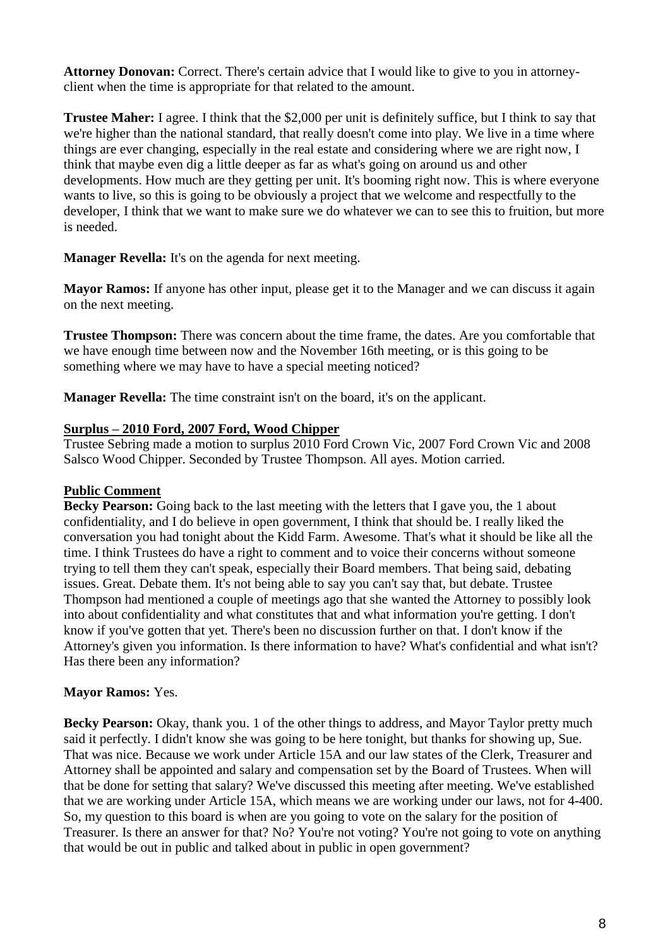**Attorney Donovan:** Correct. There's certain advice that I would like to give to you in attorneyclient when the time is appropriate for that related to the amount.

**Trustee Maher:** I agree. I think that the \$2,000 per unit is definitely suffice, but I think to say that we're higher than the national standard, that really doesn't come into play. We live in a time where things are ever changing, especially in the real estate and considering where we are right now, I think that maybe even dig a little deeper as far as what's going on around us and other developments. How much are they getting per unit. It's booming right now. This is where everyone wants to live, so this is going to be obviously a project that we welcome and respectfully to the developer, I think that we want to make sure we do whatever we can to see this to fruition, but more is needed.

**Manager Revella:** It's on the agenda for next meeting.

**Mayor Ramos:** If anyone has other input, please get it to the Manager and we can discuss it again on the next meeting.

**Trustee Thompson:** There was concern about the time frame, the dates. Are you comfortable that we have enough time between now and the November 16th meeting, or is this going to be something where we may have to have a special meeting noticed?

**Manager Revella:** The time constraint isn't on the board, it's on the applicant.

# **Surplus – 2010 Ford, 2007 Ford, Wood Chipper**

Trustee Sebring made a motion to surplus 2010 Ford Crown Vic, 2007 Ford Crown Vic and 2008 Salsco Wood Chipper. Seconded by Trustee Thompson. All ayes. Motion carried.

# **Public Comment**

**Becky Pearson:** Going back to the last meeting with the letters that I gave you, the 1 about confidentiality, and I do believe in open government, I think that should be. I really liked the conversation you had tonight about the Kidd Farm. Awesome. That's what it should be like all the time. I think Trustees do have a right to comment and to voice their concerns without someone trying to tell them they can't speak, especially their Board members. That being said, debating issues. Great. Debate them. It's not being able to say you can't say that, but debate. Trustee Thompson had mentioned a couple of meetings ago that she wanted the Attorney to possibly look into about confidentiality and what constitutes that and what information you're getting. I don't know if you've gotten that yet. There's been no discussion further on that. I don't know if the Attorney's given you information. Is there information to have? What's confidential and what isn't? Has there been any information?

# **Mayor Ramos:** Yes.

**Becky Pearson:** Okay, thank you. 1 of the other things to address, and Mayor Taylor pretty much said it perfectly. I didn't know she was going to be here tonight, but thanks for showing up, Sue. That was nice. Because we work under Article 15A and our law states of the Clerk, Treasurer and Attorney shall be appointed and salary and compensation set by the Board of Trustees. When will that be done for setting that salary? We've discussed this meeting after meeting. We've established that we are working under Article 15A, which means we are working under our laws, not for 4-400. So, my question to this board is when are you going to vote on the salary for the position of Treasurer. Is there an answer for that? No? You're not voting? You're not going to vote on anything that would be out in public and talked about in public in open government?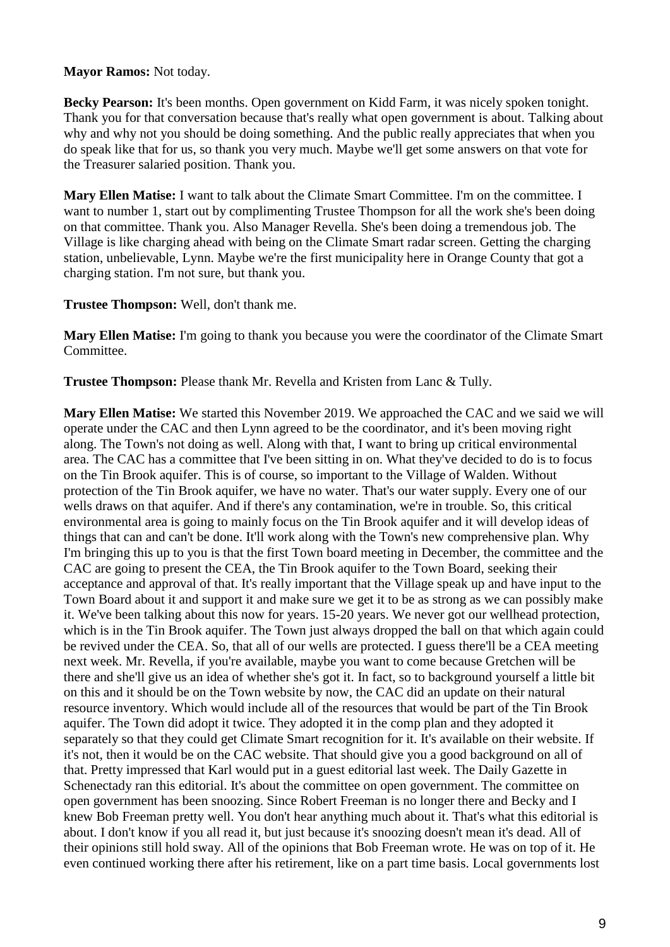### **Mayor Ramos:** Not today.

Becky Pearson: It's been months. Open government on Kidd Farm, it was nicely spoken tonight. Thank you for that conversation because that's really what open government is about. Talking about why and why not you should be doing something. And the public really appreciates that when you do speak like that for us, so thank you very much. Maybe we'll get some answers on that vote for the Treasurer salaried position. Thank you.

**Mary Ellen Matise:** I want to talk about the Climate Smart Committee. I'm on the committee. I want to number 1, start out by complimenting Trustee Thompson for all the work she's been doing on that committee. Thank you. Also Manager Revella. She's been doing a tremendous job. The Village is like charging ahead with being on the Climate Smart radar screen. Getting the charging station, unbelievable, Lynn. Maybe we're the first municipality here in Orange County that got a charging station. I'm not sure, but thank you.

**Trustee Thompson:** Well, don't thank me.

**Mary Ellen Matise:** I'm going to thank you because you were the coordinator of the Climate Smart Committee.

**Trustee Thompson:** Please thank Mr. Revella and Kristen from Lanc & Tully.

**Mary Ellen Matise:** We started this November 2019. We approached the CAC and we said we will operate under the CAC and then Lynn agreed to be the coordinator, and it's been moving right along. The Town's not doing as well. Along with that, I want to bring up critical environmental area. The CAC has a committee that I've been sitting in on. What they've decided to do is to focus on the Tin Brook aquifer. This is of course, so important to the Village of Walden. Without protection of the Tin Brook aquifer, we have no water. That's our water supply. Every one of our wells draws on that aquifer. And if there's any contamination, we're in trouble. So, this critical environmental area is going to mainly focus on the Tin Brook aquifer and it will develop ideas of things that can and can't be done. It'll work along with the Town's new comprehensive plan. Why I'm bringing this up to you is that the first Town board meeting in December, the committee and the CAC are going to present the CEA, the Tin Brook aquifer to the Town Board, seeking their acceptance and approval of that. It's really important that the Village speak up and have input to the Town Board about it and support it and make sure we get it to be as strong as we can possibly make it. We've been talking about this now for years. 15-20 years. We never got our wellhead protection, which is in the Tin Brook aquifer. The Town just always dropped the ball on that which again could be revived under the CEA. So, that all of our wells are protected. I guess there'll be a CEA meeting next week. Mr. Revella, if you're available, maybe you want to come because Gretchen will be there and she'll give us an idea of whether she's got it. In fact, so to background yourself a little bit on this and it should be on the Town website by now, the CAC did an update on their natural resource inventory. Which would include all of the resources that would be part of the Tin Brook aquifer. The Town did adopt it twice. They adopted it in the comp plan and they adopted it separately so that they could get Climate Smart recognition for it. It's available on their website. If it's not, then it would be on the CAC website. That should give you a good background on all of that. Pretty impressed that Karl would put in a guest editorial last week. The Daily Gazette in Schenectady ran this editorial. It's about the committee on open government. The committee on open government has been snoozing. Since Robert Freeman is no longer there and Becky and I knew Bob Freeman pretty well. You don't hear anything much about it. That's what this editorial is about. I don't know if you all read it, but just because it's snoozing doesn't mean it's dead. All of their opinions still hold sway. All of the opinions that Bob Freeman wrote. He was on top of it. He even continued working there after his retirement, like on a part time basis. Local governments lost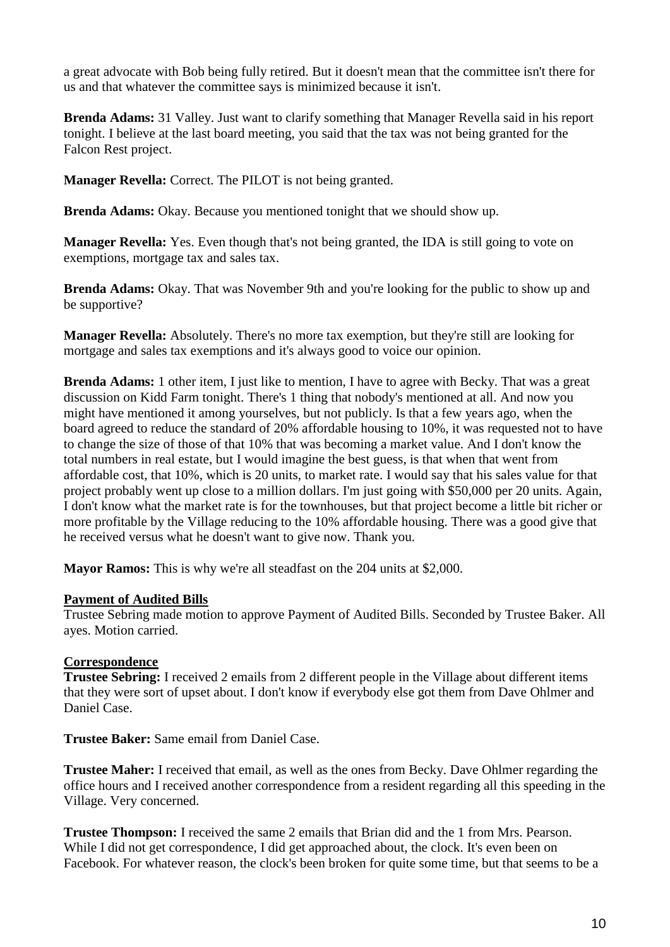a great advocate with Bob being fully retired. But it doesn't mean that the committee isn't there for us and that whatever the committee says is minimized because it isn't.

**Brenda Adams:** 31 Valley. Just want to clarify something that Manager Revella said in his report tonight. I believe at the last board meeting, you said that the tax was not being granted for the Falcon Rest project.

**Manager Revella:** Correct. The PILOT is not being granted.

**Brenda Adams:** Okay. Because you mentioned tonight that we should show up.

**Manager Revella:** Yes. Even though that's not being granted, the IDA is still going to vote on exemptions, mortgage tax and sales tax.

**Brenda Adams:** Okay. That was November 9th and you're looking for the public to show up and be supportive?

**Manager Revella:** Absolutely. There's no more tax exemption, but they're still are looking for mortgage and sales tax exemptions and it's always good to voice our opinion.

**Brenda Adams:** 1 other item, I just like to mention, I have to agree with Becky. That was a great discussion on Kidd Farm tonight. There's 1 thing that nobody's mentioned at all. And now you might have mentioned it among yourselves, but not publicly. Is that a few years ago, when the board agreed to reduce the standard of 20% affordable housing to 10%, it was requested not to have to change the size of those of that 10% that was becoming a market value. And I don't know the total numbers in real estate, but I would imagine the best guess, is that when that went from affordable cost, that 10%, which is 20 units, to market rate. I would say that his sales value for that project probably went up close to a million dollars. I'm just going with \$50,000 per 20 units. Again, I don't know what the market rate is for the townhouses, but that project become a little bit richer or more profitable by the Village reducing to the 10% affordable housing. There was a good give that he received versus what he doesn't want to give now. Thank you.

**Mayor Ramos:** This is why we're all steadfast on the 204 units at \$2,000.

#### **Payment of Audited Bills**

Trustee Sebring made motion to approve Payment of Audited Bills. Seconded by Trustee Baker. All ayes. Motion carried.

# **Correspondence**

**Trustee Sebring:** I received 2 emails from 2 different people in the Village about different items that they were sort of upset about. I don't know if everybody else got them from Dave Ohlmer and Daniel Case.

**Trustee Baker:** Same email from Daniel Case.

**Trustee Maher:** I received that email, as well as the ones from Becky. Dave Ohlmer regarding the office hours and I received another correspondence from a resident regarding all this speeding in the Village. Very concerned.

**Trustee Thompson:** I received the same 2 emails that Brian did and the 1 from Mrs. Pearson. While I did not get correspondence, I did get approached about, the clock. It's even been on Facebook. For whatever reason, the clock's been broken for quite some time, but that seems to be a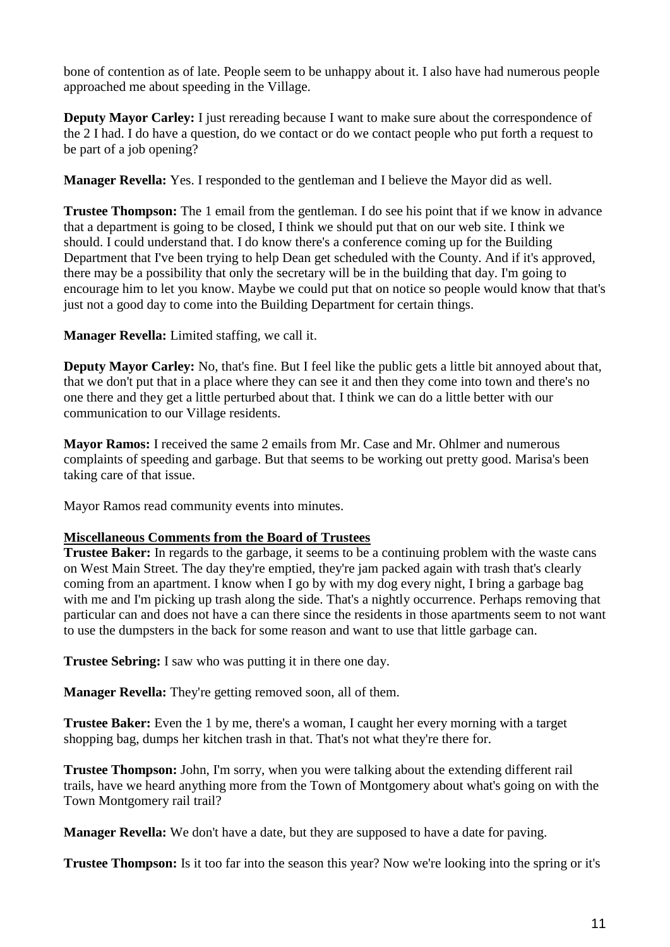bone of contention as of late. People seem to be unhappy about it. I also have had numerous people approached me about speeding in the Village.

**Deputy Mayor Carley:** I just rereading because I want to make sure about the correspondence of the 2 I had. I do have a question, do we contact or do we contact people who put forth a request to be part of a job opening?

**Manager Revella:** Yes. I responded to the gentleman and I believe the Mayor did as well.

**Trustee Thompson:** The 1 email from the gentleman. I do see his point that if we know in advance that a department is going to be closed, I think we should put that on our web site. I think we should. I could understand that. I do know there's a conference coming up for the Building Department that I've been trying to help Dean get scheduled with the County. And if it's approved, there may be a possibility that only the secretary will be in the building that day. I'm going to encourage him to let you know. Maybe we could put that on notice so people would know that that's just not a good day to come into the Building Department for certain things.

**Manager Revella:** Limited staffing, we call it.

**Deputy Mayor Carley:** No, that's fine. But I feel like the public gets a little bit annoyed about that, that we don't put that in a place where they can see it and then they come into town and there's no one there and they get a little perturbed about that. I think we can do a little better with our communication to our Village residents.

**Mayor Ramos:** I received the same 2 emails from Mr. Case and Mr. Ohlmer and numerous complaints of speeding and garbage. But that seems to be working out pretty good. Marisa's been taking care of that issue.

Mayor Ramos read community events into minutes.

# **Miscellaneous Comments from the Board of Trustees**

**Trustee Baker:** In regards to the garbage, it seems to be a continuing problem with the waste cans on West Main Street. The day they're emptied, they're jam packed again with trash that's clearly coming from an apartment. I know when I go by with my dog every night, I bring a garbage bag with me and I'm picking up trash along the side. That's a nightly occurrence. Perhaps removing that particular can and does not have a can there since the residents in those apartments seem to not want to use the dumpsters in the back for some reason and want to use that little garbage can.

**Trustee Sebring:** I saw who was putting it in there one day.

**Manager Revella:** They're getting removed soon, all of them.

**Trustee Baker:** Even the 1 by me, there's a woman, I caught her every morning with a target shopping bag, dumps her kitchen trash in that. That's not what they're there for.

**Trustee Thompson:** John, I'm sorry, when you were talking about the extending different rail trails, have we heard anything more from the Town of Montgomery about what's going on with the Town Montgomery rail trail?

**Manager Revella:** We don't have a date, but they are supposed to have a date for paving.

**Trustee Thompson:** Is it too far into the season this year? Now we're looking into the spring or it's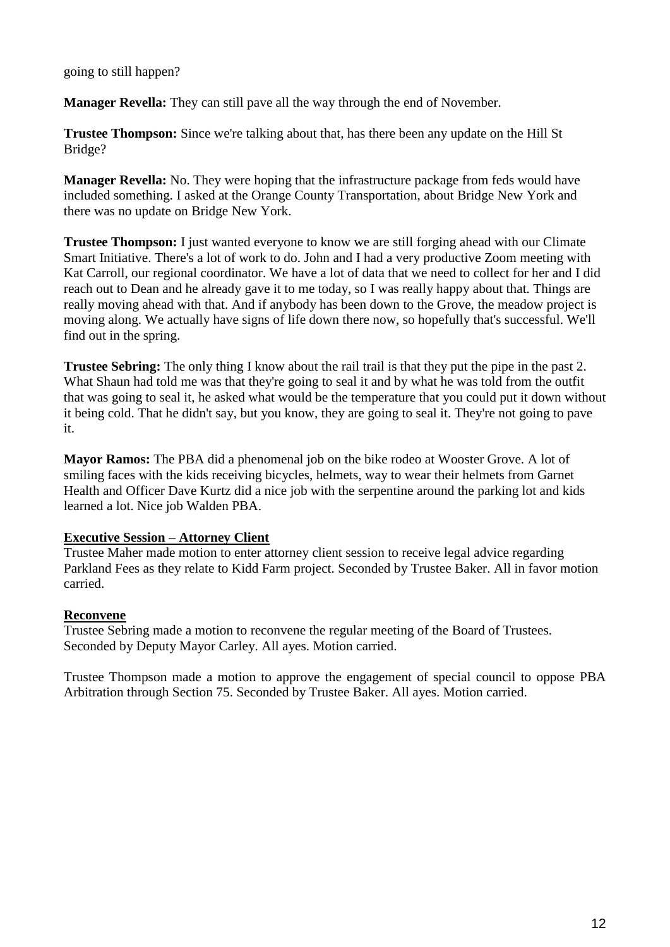### going to still happen?

**Manager Revella:** They can still pave all the way through the end of November.

**Trustee Thompson:** Since we're talking about that, has there been any update on the Hill St Bridge?

**Manager Revella:** No. They were hoping that the infrastructure package from feds would have included something. I asked at the Orange County Transportation, about Bridge New York and there was no update on Bridge New York.

**Trustee Thompson:** I just wanted everyone to know we are still forging ahead with our Climate Smart Initiative. There's a lot of work to do. John and I had a very productive Zoom meeting with Kat Carroll, our regional coordinator. We have a lot of data that we need to collect for her and I did reach out to Dean and he already gave it to me today, so I was really happy about that. Things are really moving ahead with that. And if anybody has been down to the Grove, the meadow project is moving along. We actually have signs of life down there now, so hopefully that's successful. We'll find out in the spring.

**Trustee Sebring:** The only thing I know about the rail trail is that they put the pipe in the past 2. What Shaun had told me was that they're going to seal it and by what he was told from the outfit that was going to seal it, he asked what would be the temperature that you could put it down without it being cold. That he didn't say, but you know, they are going to seal it. They're not going to pave it.

**Mayor Ramos:** The PBA did a phenomenal job on the bike rodeo at Wooster Grove. A lot of smiling faces with the kids receiving bicycles, helmets, way to wear their helmets from Garnet Health and Officer Dave Kurtz did a nice job with the serpentine around the parking lot and kids learned a lot. Nice job Walden PBA.

#### **Executive Session – Attorney Client**

Trustee Maher made motion to enter attorney client session to receive legal advice regarding Parkland Fees as they relate to Kidd Farm project. Seconded by Trustee Baker. All in favor motion carried.

#### **Reconvene**

Trustee Sebring made a motion to reconvene the regular meeting of the Board of Trustees. Seconded by Deputy Mayor Carley. All ayes. Motion carried.

Trustee Thompson made a motion to approve the engagement of special council to oppose PBA Arbitration through Section 75. Seconded by Trustee Baker. All ayes. Motion carried.